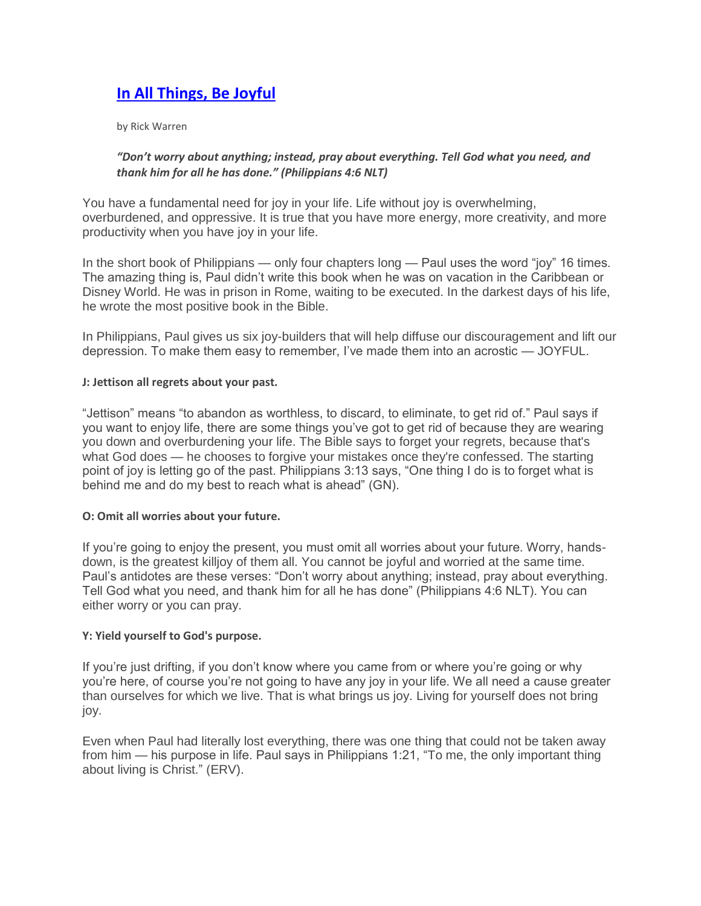# **[In All Things, Be Joyful](http://purposedriven.com/blogs/dailyhope/index.html?contentid=12850)**

by Rick Warren

## *"Don't worry about anything; instead, pray about everything. Tell God what you need, and thank him for all he has done." (Philippians 4:6 NLT)*

You have a fundamental need for joy in your life. Life without joy is overwhelming, overburdened, and oppressive. It is true that you have more energy, more creativity, and more productivity when you have joy in your life.

In the short book of Philippians — only four chapters long — Paul uses the word "joy" 16 times. The amazing thing is, Paul didn't write this book when he was on vacation in the Caribbean or Disney World. He was in prison in Rome, waiting to be executed. In the darkest days of his life, he wrote the most positive book in the Bible.

In Philippians, Paul gives us six joy-builders that will help diffuse our discouragement and lift our depression. To make them easy to remember, I've made them into an acrostic — JOYFUL.

### **J: Jettison all regrets about your past.**

"Jettison" means "to abandon as worthless, to discard, to eliminate, to get rid of." Paul says if you want to enjoy life, there are some things you've got to get rid of because they are wearing you down and overburdening your life. The Bible says to forget your regrets, because that's what God does — he chooses to forgive your mistakes once they're confessed. The starting point of joy is letting go of the past. Philippians 3:13 says, "One thing I do is to forget what is behind me and do my best to reach what is ahead" (GN).

### **O: Omit all worries about your future.**

If you're going to enjoy the present, you must omit all worries about your future. Worry, handsdown, is the greatest killjoy of them all. You cannot be joyful and worried at the same time. Paul's antidotes are these verses: "Don't worry about anything; instead, pray about everything. Tell God what you need, and thank him for all he has done" (Philippians 4:6 NLT). You can either worry or you can pray.

### **Y: Yield yourself to God's purpose.**

If you're just drifting, if you don't know where you came from or where you're going or why you're here, of course you're not going to have any joy in your life. We all need a cause greater than ourselves for which we live. That is what brings us joy. Living for yourself does not bring joy.

Even when Paul had literally lost everything, there was one thing that could not be taken away from him — his purpose in life. Paul says in Philippians 1:21, "To me, the only important thing about living is Christ." (ERV).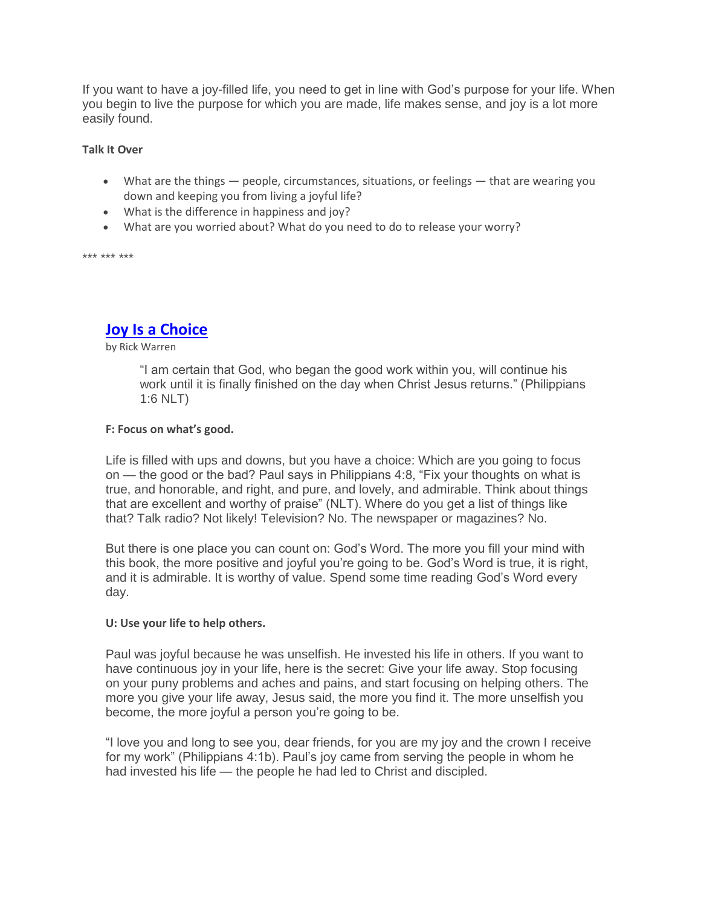If you want to have a joy-filled life, you need to get in line with God's purpose for your life. When you begin to live the purpose for which you are made, life makes sense, and joy is a lot more easily found.

### **Talk It Over**

- What are the things people, circumstances, situations, or feelings that are wearing you down and keeping you from living a joyful life?
- What is the difference in happiness and joy?
- What are you worried about? What do you need to do to release your worry?

\*\*\* \*\*\* \*\*\*

# **[Joy Is a Choice](http://purposedriven.com/blogs/dailyhope/index.html?contentid=12855)**

### by Rick Warren

"I am certain that God, who began the good work within you, will continue his work until it is finally finished on the day when Christ Jesus returns." (Philippians 1:6 NLT)

### **F: Focus on what's good.**

Life is filled with ups and downs, but you have a choice: Which are you going to focus on — the good or the bad? Paul says in Philippians 4:8, "Fix your thoughts on what is true, and honorable, and right, and pure, and lovely, and admirable. Think about things that are excellent and worthy of praise" (NLT). Where do you get a list of things like that? Talk radio? Not likely! Television? No. The newspaper or magazines? No.

But there is one place you can count on: God's Word. The more you fill your mind with this book, the more positive and joyful you're going to be. God's Word is true, it is right, and it is admirable. It is worthy of value. Spend some time reading God's Word every day.

### **U: Use your life to help others.**

Paul was joyful because he was unselfish. He invested his life in others. If you want to have continuous joy in your life, here is the secret: Give your life away. Stop focusing on your puny problems and aches and pains, and start focusing on helping others. The more you give your life away, Jesus said, the more you find it. The more unselfish you become, the more joyful a person you're going to be.

"I love you and long to see you, dear friends, for you are my joy and the crown I receive for my work" (Philippians 4:1b). Paul's joy came from serving the people in whom he had invested his life — the people he had led to Christ and discipled.